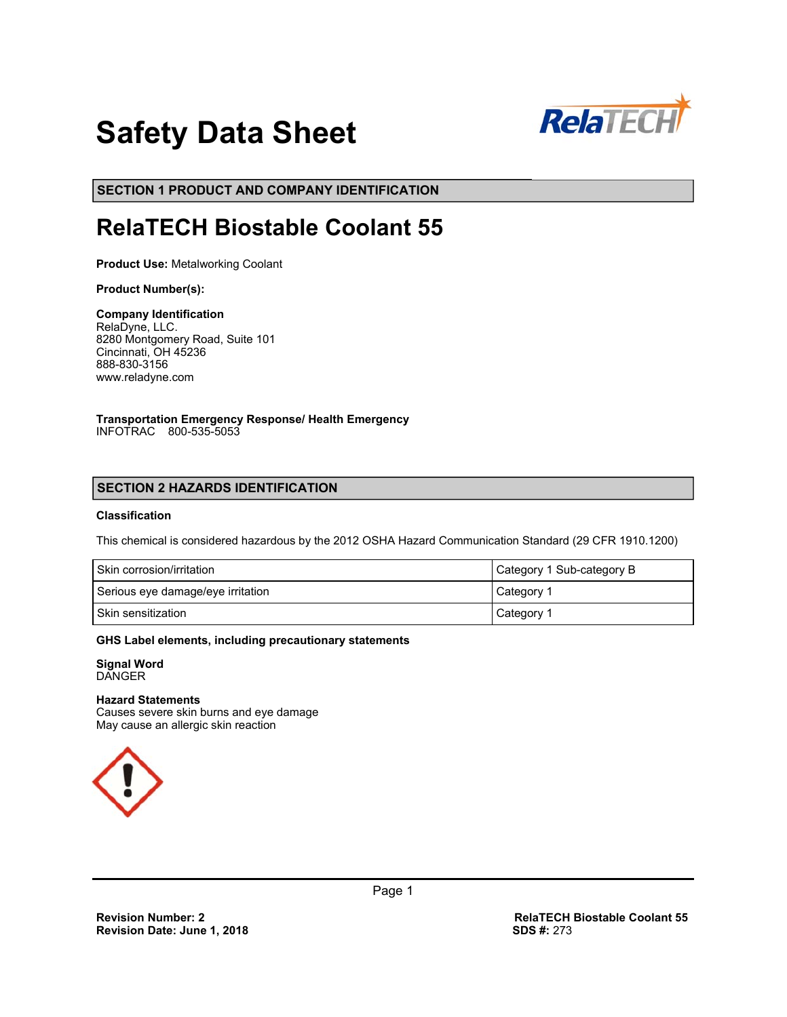

# **Safety Data Sheet**

**SECTION 1 PRODUCT AND COMPANY IDENTIFICATION**

## **RelaTECH Biostable Coolant 55**

**Product Use:** Metalworking Coolant

#### **Product Number(s):**

**Company Identification**  RelaDyne, LLC. 8280 Montgomery Road, Suite 101 Cincinnati, OH 45236 888-830-3156 www.reladyne.com

**Transportation Emergency Response/ Health Emergency**  INFOTRAC 800-535-5053

## **SECTION 2 HAZARDS IDENTIFICATION**

## **Classification**

This chemical is considered hazardous by the 2012 OSHA Hazard Communication Standard (29 CFR 1910.1200)

| Skin corrosion/irritation         | Category 1 Sub-category B |
|-----------------------------------|---------------------------|
| Serious eye damage/eye irritation | Category 1                |
| Skin sensitization                | Category 1                |

#### **GHS Label elements, including precautionary statements**

**Signal Word**  DANGER

#### **Hazard Statements**

Causes severe skin burns and eye damage May cause an allergic skin reaction

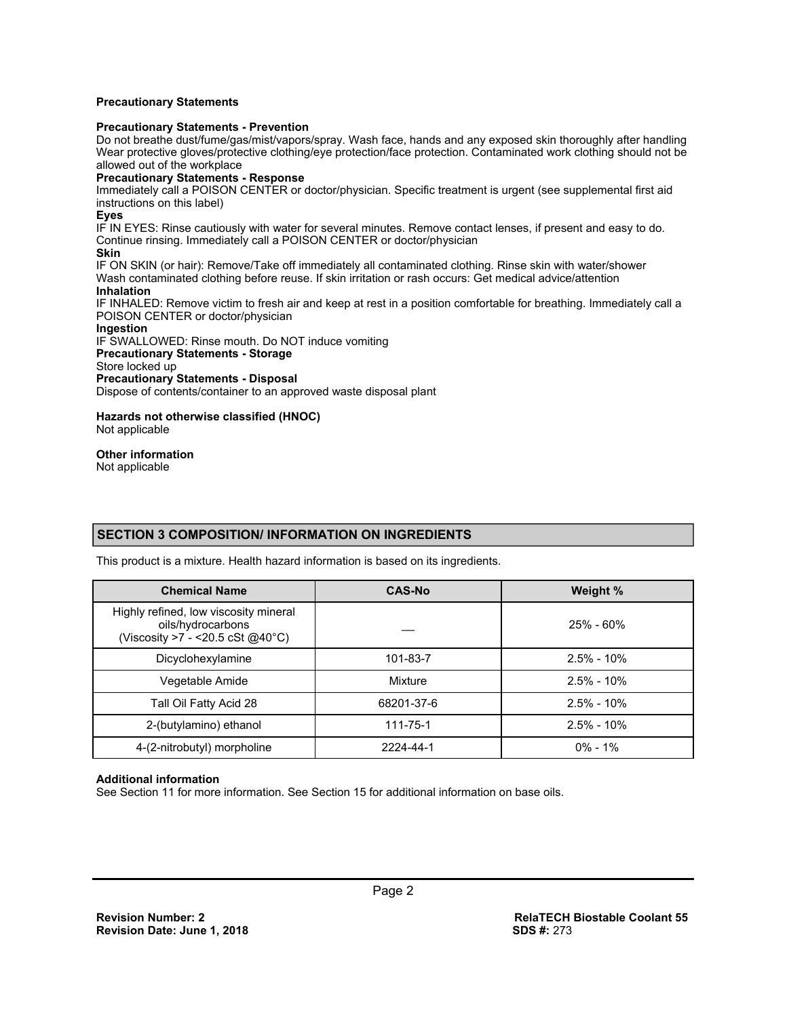#### **Precautionary Statements**

#### **Precautionary Statements - Prevention**

Do not breathe dust/fume/gas/mist/vapors/spray. Wash face, hands and any exposed skin thoroughly after handling Wear protective gloves/protective clothing/eye protection/face protection. Contaminated work clothing should not be allowed out of the workplace

#### **Precautionary Statements - Response**

Immediately call a POISON CENTER or doctor/physician. Specific treatment is urgent (see supplemental first aid instructions on this label)

#### **Eyes**

IF IN EYES: Rinse cautiously with water for several minutes. Remove contact lenses, if present and easy to do. Continue rinsing. Immediately call a POISON CENTER or doctor/physician

#### **Skin**

IF ON SKIN (or hair): Remove/Take off immediately all contaminated clothing. Rinse skin with water/shower Wash contaminated clothing before reuse. If skin irritation or rash occurs: Get medical advice/attention **Inhalation** 

IF INHALED: Remove victim to fresh air and keep at rest in a position comfortable for breathing. Immediately call a POISON CENTER or doctor/physician

#### **Ingestion**

#### IF SWALLOWED: Rinse mouth. Do NOT induce vomiting

**Precautionary Statements - Storage** 

Store locked up

#### **Precautionary Statements - Disposal**

Dispose of contents/container to an approved waste disposal plant

#### **Hazards not otherwise classified (HNOC)**  Not applicable

#### **Other information**

Not applicable

## **SECTION 3 COMPOSITION/ INFORMATION ON INGREDIENTS**

This product is a mixture. Health hazard information is based on its ingredients.

| <b>Chemical Name</b>                                                                             | <b>CAS-No</b> | Weight %       |
|--------------------------------------------------------------------------------------------------|---------------|----------------|
| Highly refined, low viscosity mineral<br>oils/hydrocarbons<br>(Viscosity >7 - < 20.5 cSt @ 40°C) |               | $25\%$ - 60%   |
| Dicyclohexylamine                                                                                | 101-83-7      | $2.5\% - 10\%$ |
| Vegetable Amide                                                                                  | Mixture       | $2.5\% - 10\%$ |
| Tall Oil Fatty Acid 28                                                                           | 68201-37-6    | $2.5\% - 10\%$ |
| 2-(butylamino) ethanol                                                                           | 111-75-1      | $2.5\% - 10\%$ |
| 4-(2-nitrobutyl) morpholine                                                                      | 2224-44-1     | $0\% - 1\%$    |

#### **Additional information**

See Section 11 for more information. See Section 15 for additional information on base oils.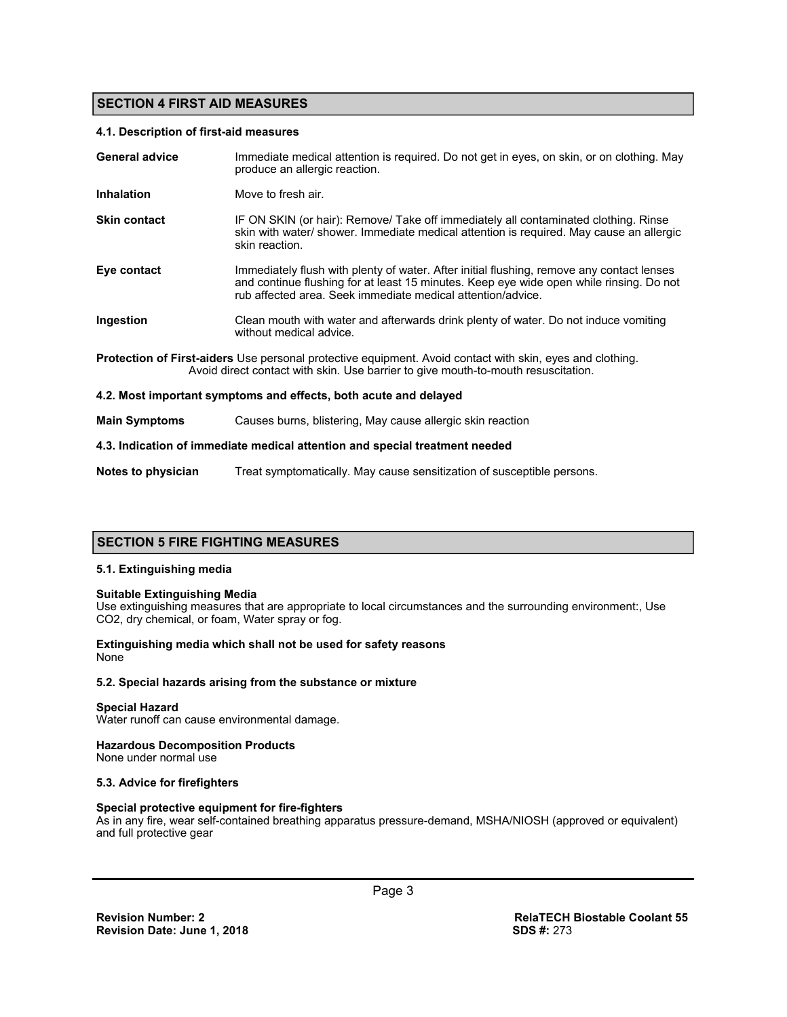## **SECTION 4 FIRST AID MEASURES**

#### **4.1. Description of first-aid measures**

| <b>General advice</b>                                                                                                                                                                                 | Immediate medical attention is required. Do not get in eyes, on skin, or on clothing. May<br>produce an allergic reaction.                                                                                                                          |  |
|-------------------------------------------------------------------------------------------------------------------------------------------------------------------------------------------------------|-----------------------------------------------------------------------------------------------------------------------------------------------------------------------------------------------------------------------------------------------------|--|
| <b>Inhalation</b>                                                                                                                                                                                     | Move to fresh air.                                                                                                                                                                                                                                  |  |
| <b>Skin contact</b>                                                                                                                                                                                   | IF ON SKIN (or hair): Remove/ Take off immediately all contaminated clothing. Rinse<br>skin with water/ shower. Immediate medical attention is required. May cause an allergic<br>skin reaction.                                                    |  |
| Eye contact                                                                                                                                                                                           | Immediately flush with plenty of water. After initial flushing, remove any contact lenses<br>and continue flushing for at least 15 minutes. Keep eye wide open while rinsing. Do not<br>rub affected area. Seek immediate medical attention/advice. |  |
| Ingestion                                                                                                                                                                                             | Clean mouth with water and afterwards drink plenty of water. Do not induce vomiting<br>without medical advice.                                                                                                                                      |  |
| <b>Protection of First-aiders</b> Use personal protective equipment. Avoid contact with skin, eyes and clothing.<br>Avoid direct contact with skin. Use barrier to give mouth-to-mouth resuscitation. |                                                                                                                                                                                                                                                     |  |
|                                                                                                                                                                                                       | 4.2. Most important symptoms and effects, both acute and delayed                                                                                                                                                                                    |  |
| <b>Main Symptoms</b>                                                                                                                                                                                  | Causes burns, blistering, May cause allergic skin reaction                                                                                                                                                                                          |  |
| 4.3. Indication of immediate medical attention and special treatment needed                                                                                                                           |                                                                                                                                                                                                                                                     |  |

## **SECTION 5 FIRE FIGHTING MEASURES**

#### **5.1. Extinguishing media**

#### **Suitable Extinguishing Media**

Use extinguishing measures that are appropriate to local circumstances and the surrounding environment:, Use CO2, dry chemical, or foam, Water spray or fog.

**Notes to physician** Treat symptomatically. May cause sensitization of susceptible persons.

#### **Extinguishing media which shall not be used for safety reasons**  None

#### **5.2. Special hazards arising from the substance or mixture**

#### **Special Hazard**

Water runoff can cause environmental damage.

#### **Hazardous Decomposition Products**

None under normal use

#### **5.3. Advice for firefighters**

#### **Special protective equipment for fire-fighters**

As in any fire, wear self-contained breathing apparatus pressure-demand, MSHA/NIOSH (approved or equivalent) and full protective gear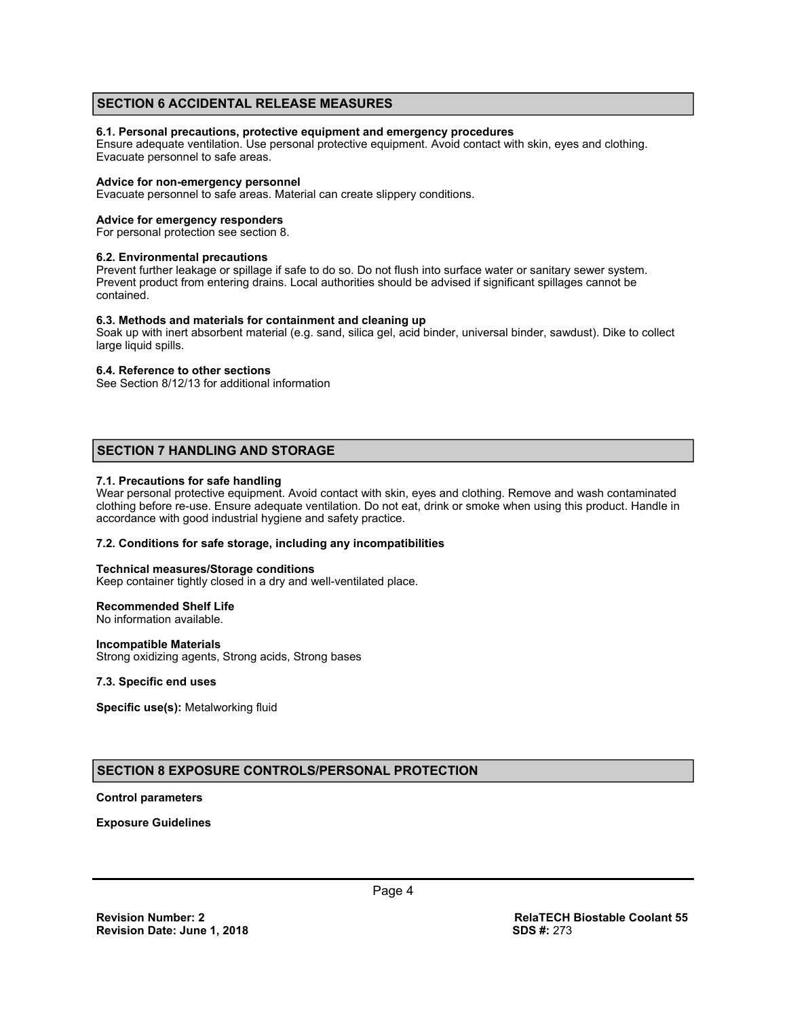## **SECTION 6 ACCIDENTAL RELEASE MEASURES**

#### **6.1. Personal precautions, protective equipment and emergency procedures**

Ensure adequate ventilation. Use personal protective equipment. Avoid contact with skin, eyes and clothing. Evacuate personnel to safe areas.

#### **Advice for non-emergency personnel**

Evacuate personnel to safe areas. Material can create slippery conditions.

#### **Advice for emergency responders**

For personal protection see section 8.

#### **6.2. Environmental precautions**

Prevent further leakage or spillage if safe to do so. Do not flush into surface water or sanitary sewer system. Prevent product from entering drains. Local authorities should be advised if significant spillages cannot be contained.

#### **6.3. Methods and materials for containment and cleaning up**

Soak up with inert absorbent material (e.g. sand, silica gel, acid binder, universal binder, sawdust). Dike to collect large liquid spills.

#### **6.4. Reference to other sections**

See Section 8/12/13 for additional information

## **SECTION 7 HANDLING AND STORAGE**

#### **7.1. Precautions for safe handling**

Wear personal protective equipment. Avoid contact with skin, eyes and clothing. Remove and wash contaminated clothing before re-use. Ensure adequate ventilation. Do not eat, drink or smoke when using this product. Handle in accordance with good industrial hygiene and safety practice.

#### **7.2. Conditions for safe storage, including any incompatibilities**

#### **Technical measures/Storage conditions**

Keep container tightly closed in a dry and well-ventilated place.

#### **Recommended Shelf Life**

No information available.

#### **Incompatible Materials**

Strong oxidizing agents, Strong acids, Strong bases

#### **7.3. Specific end uses**

**Specific use(s):** Metalworking fluid

## **SECTION 8 EXPOSURE CONTROLS/PERSONAL PROTECTION**

#### **Control parameters**

**Exposure Guidelines**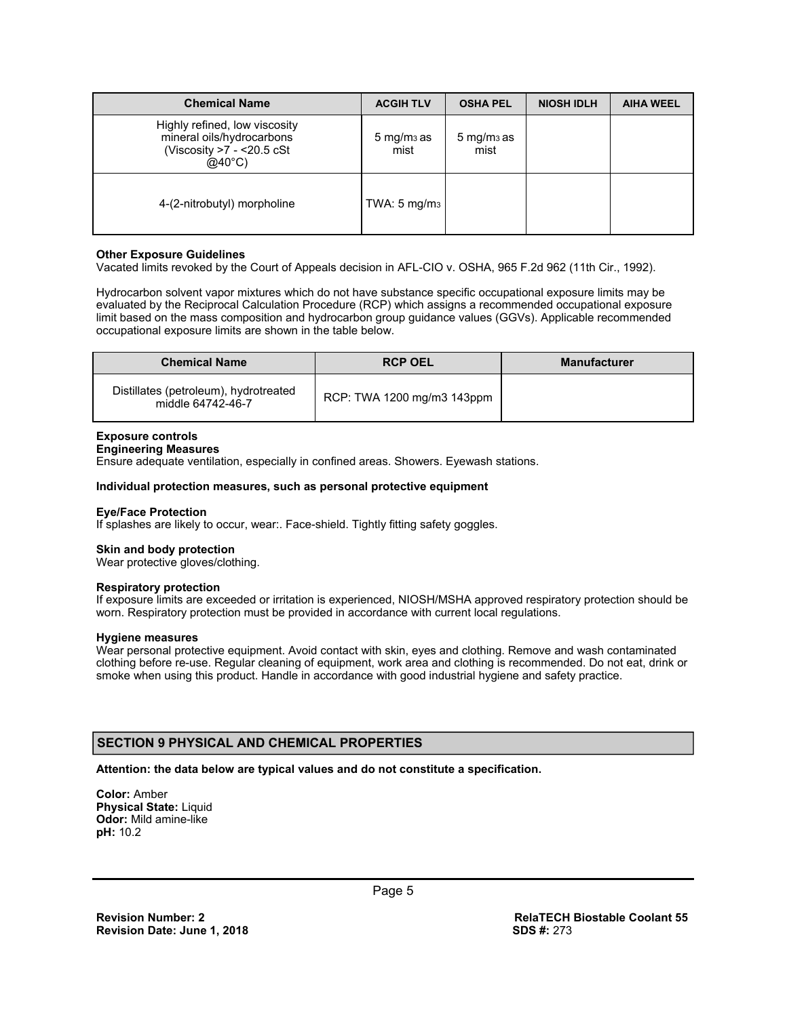| <b>Chemical Name</b>                                                                                          | <b>ACGIH TLV</b>               | <b>OSHA PEL</b>                | <b>NIOSH IDLH</b> | <b>AIHA WEEL</b> |
|---------------------------------------------------------------------------------------------------------------|--------------------------------|--------------------------------|-------------------|------------------|
| Highly refined, low viscosity<br>mineral oils/hydrocarbons<br>(Viscosity $>7$ - <20.5 cSt<br>$@40^{\circ}$ C) | $5 \,\mathrm{mg/m}$ as<br>mist | $5 \,\mathrm{mg/m}$ as<br>mist |                   |                  |
| 4-(2-nitrobutyl) morpholine                                                                                   | TWA: $5 \text{ mg/m}_3$        |                                |                   |                  |

#### **Other Exposure Guidelines**

Vacated limits revoked by the Court of Appeals decision in AFL-CIO v. OSHA, 965 F.2d 962 (11th Cir., 1992).

Hydrocarbon solvent vapor mixtures which do not have substance specific occupational exposure limits may be evaluated by the Reciprocal Calculation Procedure (RCP) which assigns a recommended occupational exposure limit based on the mass composition and hydrocarbon group guidance values (GGVs). Applicable recommended occupational exposure limits are shown in the table below.

| <b>Chemical Name</b>                                       | <b>RCP OEL</b>             | <b>Manufacturer</b> |
|------------------------------------------------------------|----------------------------|---------------------|
| Distillates (petroleum), hydrotreated<br>middle 64742-46-7 | RCP: TWA 1200 mg/m3 143ppm |                     |

#### **Exposure controls**

## **Engineering Measures**

Ensure adequate ventilation, especially in confined areas. Showers. Eyewash stations.

#### **Individual protection measures, such as personal protective equipment**

#### **Eye/Face Protection**

If splashes are likely to occur, wear:. Face-shield. Tightly fitting safety goggles.

#### **Skin and body protection**

Wear protective gloves/clothing.

#### **Respiratory protection**

If exposure limits are exceeded or irritation is experienced, NIOSH/MSHA approved respiratory protection should be worn. Respiratory protection must be provided in accordance with current local regulations.

#### **Hygiene measures**

Wear personal protective equipment. Avoid contact with skin, eyes and clothing. Remove and wash contaminated clothing before re-use. Regular cleaning of equipment, work area and clothing is recommended. Do not eat, drink or smoke when using this product. Handle in accordance with good industrial hygiene and safety practice.

## **SECTION 9 PHYSICAL AND CHEMICAL PROPERTIES**

#### **Attention: the data below are typical values and do not constitute a specification.**

**Color:** Amber **Physical State:** Liquid **Odor:** Mild amine-like **pH:** 10.2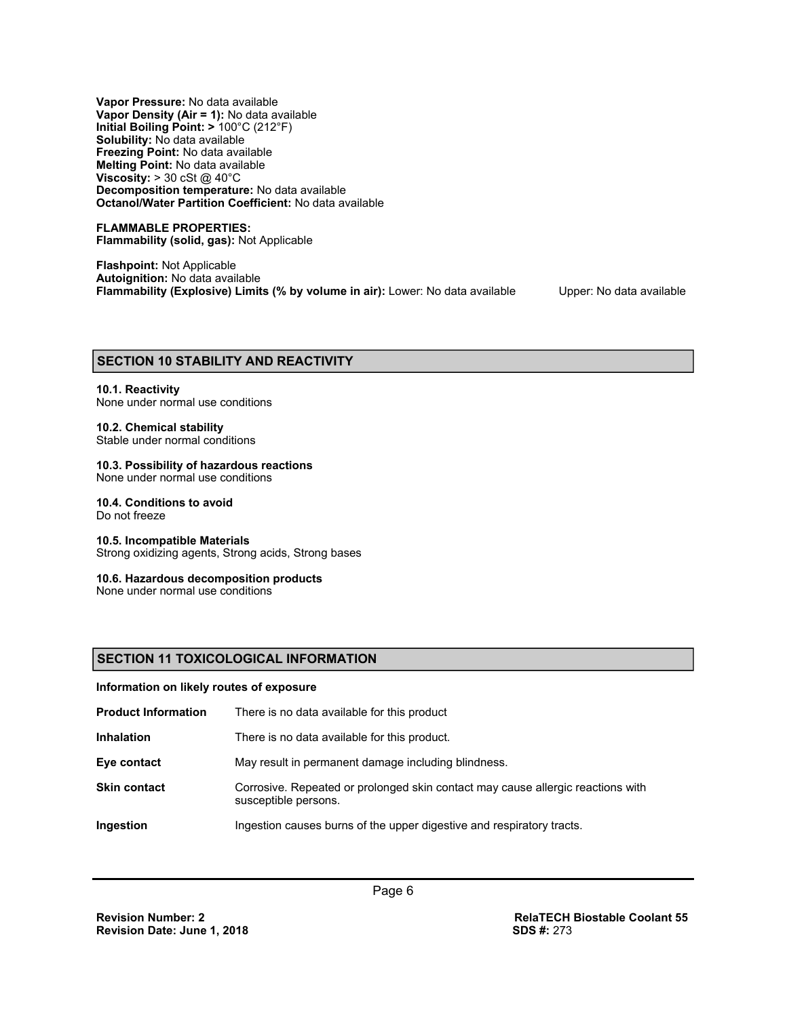**Vapor Pressure:** No data available **Vapor Density (Air = 1):** No data available **Initial Boiling Point: >** 100°C (212°F) **Solubility:** No data available **Freezing Point:** No data available **Melting Point:** No data available **Viscosity: > 30 cSt @ 40°C Decomposition temperature:** No data available **Octanol/Water Partition Coefficient:** No data available

**FLAMMABLE PROPERTIES: Flammability (solid, gas):** Not Applicable

**Flashpoint:** Not Applicable **Autoignition:** No data available **Flammability (Explosive) Limits (% by volume in air):** Lower: No data available Upper: No data available

## **SECTION 10 STABILITY AND REACTIVITY**

## **10.1. Reactivity**

## None under normal use conditions

## **10.2. Chemical stability**

Stable under normal conditions

## **10.3. Possibility of hazardous reactions**

None under normal use conditions

## **10.4. Conditions to avoid**

Do not freeze

#### **10.5. Incompatible Materials**

Strong oxidizing agents, Strong acids, Strong bases

#### **10.6. Hazardous decomposition products**

None under normal use conditions

## **SECTION 11 TOXICOLOGICAL INFORMATION**

#### **Information on likely routes of exposure**

| <b>Product Information</b> | There is no data available for this product                                                             |
|----------------------------|---------------------------------------------------------------------------------------------------------|
| <b>Inhalation</b>          | There is no data available for this product.                                                            |
| Eye contact                | May result in permanent damage including blindness.                                                     |
| <b>Skin contact</b>        | Corrosive. Repeated or prolonged skin contact may cause allergic reactions with<br>susceptible persons. |
| Ingestion                  | Ingestion causes burns of the upper digestive and respiratory tracts.                                   |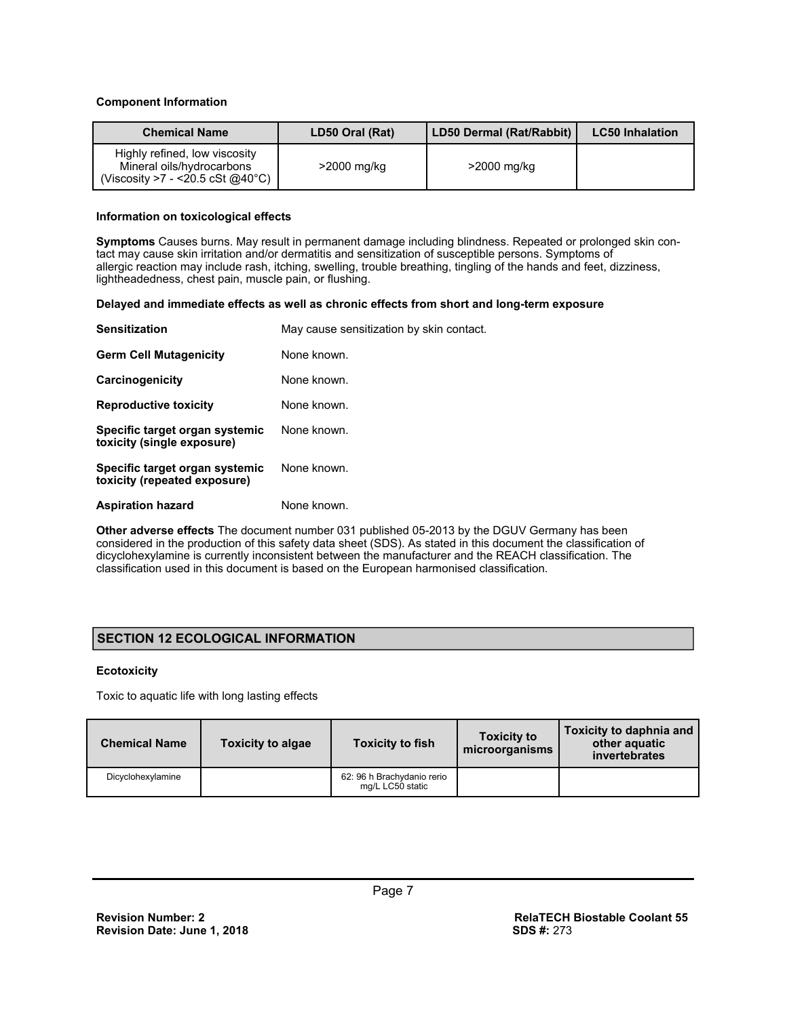#### **Component Information**

| <b>Chemical Name</b>                                                                                      | LD50 Oral (Rat) | LD50 Dermal (Rat/Rabbit) | <b>LC50 Inhalation</b> |
|-----------------------------------------------------------------------------------------------------------|-----------------|--------------------------|------------------------|
| Highly refined, low viscosity<br>Mineral oils/hydrocarbons<br>(Viscosity >7 - <20.5 cSt @40 $^{\circ}$ C) | $>$ 2000 mg/kg  | >2000 mg/kg              |                        |

#### **Information on toxicological effects**

**Symptoms** Causes burns. May result in permanent damage including blindness. Repeated or prolonged skin contact may cause skin irritation and/or dermatitis and sensitization of susceptible persons. Symptoms of allergic reaction may include rash, itching, swelling, trouble breathing, tingling of the hands and feet, dizziness, lightheadedness, chest pain, muscle pain, or flushing.

#### **Delayed and immediate effects as well as chronic effects from short and long-term exposure**

| <b>Sensitization</b>                                           | May cause sensitization by skin contact. |
|----------------------------------------------------------------|------------------------------------------|
| <b>Germ Cell Mutagenicity</b>                                  | None known.                              |
| Carcinogenicity                                                | None known.                              |
| <b>Reproductive toxicity</b>                                   | None known.                              |
| Specific target organ systemic<br>toxicity (single exposure)   | None known.                              |
| Specific target organ systemic<br>toxicity (repeated exposure) | None known.                              |
| <b>Aspiration hazard</b>                                       | None known.                              |

**Other adverse effects** The document number 031 published 05-2013 by the DGUV Germany has been considered in the production of this safety data sheet (SDS). As stated in this document the classification of dicyclohexylamine is currently inconsistent between the manufacturer and the REACH classification. The classification used in this document is based on the European harmonised classification.

## **SECTION 12 ECOLOGICAL INFORMATION**

## **Ecotoxicity**

Toxic to aquatic life with long lasting effects

| <b>Chemical Name</b> | <b>Toxicity to algae</b> | <b>Toxicity to fish</b>                        | <b>Toxicity to</b><br>microorganisms | Toxicity to daphnia and<br>other aquatic<br>invertebrates |
|----------------------|--------------------------|------------------------------------------------|--------------------------------------|-----------------------------------------------------------|
| Dicyclohexylamine    |                          | 62: 96 h Brachydanio rerio<br>mg/L LC50 static |                                      |                                                           |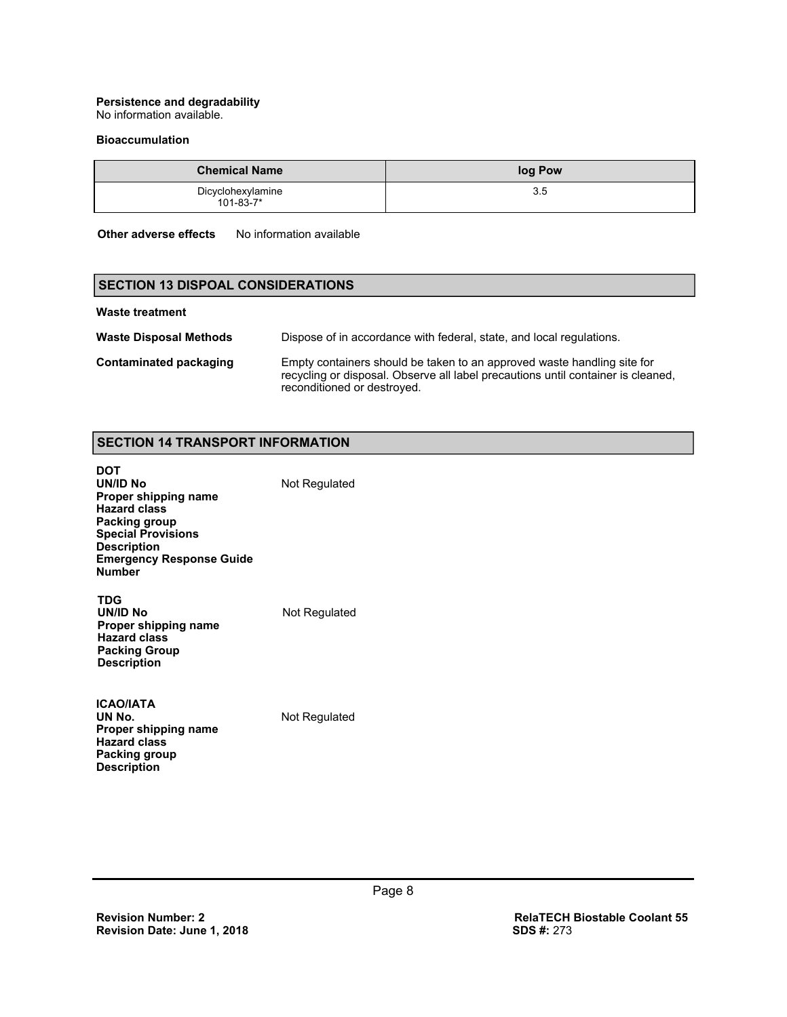## **Persistence and degradability**

No information available.

#### **Bioaccumulation**

| <b>Chemical Name</b>                 | log Pow |
|--------------------------------------|---------|
| Dicyclohexylamine<br>$101 - 83 - 7*$ | 35      |

**Other adverse effects** No information available

## **SECTION 13 DISPOAL CONSIDERATIONS**

#### **Waste treatment**

| <b>Waste Disposal Methods</b> | Dispose of in accordance with federal, state, and local regulations.                                                                                                                       |
|-------------------------------|--------------------------------------------------------------------------------------------------------------------------------------------------------------------------------------------|
| Contaminated packaging        | Empty containers should be taken to an approved waste handling site for<br>recycling or disposal. Observe all label precautions until container is cleaned,<br>reconditioned or destroyed. |

## **SECTION 14 TRANSPORT INFORMATION**

| DOT<br>UN/ID No<br>Proper shipping name<br><b>Hazard class</b><br>Packing group<br><b>Special Provisions</b><br><b>Description</b><br><b>Emergency Response Guide</b><br><b>Number</b> | Not Regulated |
|----------------------------------------------------------------------------------------------------------------------------------------------------------------------------------------|---------------|
| TDG<br>UN/ID No<br>Proper shipping name<br><b>Hazard class</b><br><b>Packing Group</b><br><b>Description</b>                                                                           | Not Regulated |
| <b>ICAO/IATA</b>                                                                                                                                                                       |               |

| 175911616            |  |
|----------------------|--|
| UN No.               |  |
| Proper shipping name |  |
| <b>Hazard class</b>  |  |
| Packing group        |  |
| <b>Description</b>   |  |
|                      |  |

**Not Regulated**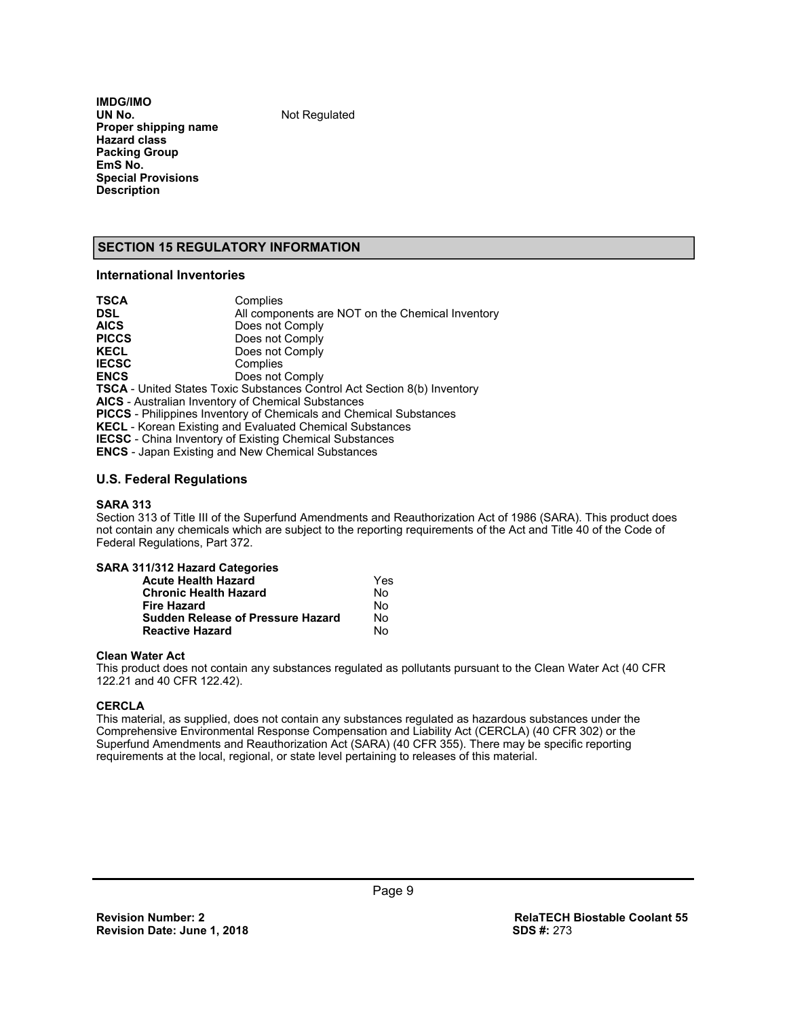**IMDG/IMO Proper shipping name Hazard class Packing Group EmS No. Special Provisions Description** 

**Not Regulated** 

## **SECTION 15 REGULATORY INFORMATION**

## **International Inventories**

| <b>TSCA</b>                                               | Complies                                                                        |
|-----------------------------------------------------------|---------------------------------------------------------------------------------|
| <b>DSL</b>                                                | All components are NOT on the Chemical Inventory                                |
| <b>AICS</b>                                               | Does not Comply                                                                 |
| <b>PICCS</b>                                              | Does not Comply                                                                 |
| <b>KECL</b>                                               | Does not Comply                                                                 |
| <b>IECSC</b>                                              | Complies                                                                        |
| <b>ENCS</b>                                               | Does not Comply                                                                 |
|                                                           | <b>TSCA</b> - United States Toxic Substances Control Act Section 8(b) Inventory |
| <b>AICS</b> - Australian Inventory of Chemical Substances |                                                                                 |
|                                                           | <b>PICCS</b> - Philippines Inventory of Chemicals and Chemical Substances       |
|                                                           | <b>KECL</b> - Korean Existing and Evaluated Chemical Substances                 |
|                                                           | <b>IECSC</b> - China Inventory of Existing Chemical Substances                  |
|                                                           | <b>ENCS</b> - Japan Existing and New Chemical Substances                        |

#### **U.S. Federal Regulations**

#### **SARA 313**

Section 313 of Title III of the Superfund Amendments and Reauthorization Act of 1986 (SARA). This product does not contain any chemicals which are subject to the reporting requirements of the Act and Title 40 of the Code of Federal Regulations, Part 372.

| SARA 311/312 Hazard Categories           |     |
|------------------------------------------|-----|
| <b>Acute Health Hazard</b>               | Yes |
| <b>Chronic Health Hazard</b>             | No  |
| <b>Fire Hazard</b>                       | No  |
| <b>Sudden Release of Pressure Hazard</b> | No  |
| <b>Reactive Hazard</b>                   | N٥  |

#### **Clean Water Act**

This product does not contain any substances regulated as pollutants pursuant to the Clean Water Act (40 CFR 122.21 and 40 CFR 122.42).

#### **CERCLA**

This material, as supplied, does not contain any substances regulated as hazardous substances under the Comprehensive Environmental Response Compensation and Liability Act (CERCLA) (40 CFR 302) or the Superfund Amendments and Reauthorization Act (SARA) (40 CFR 355). There may be specific reporting requirements at the local, regional, or state level pertaining to releases of this material.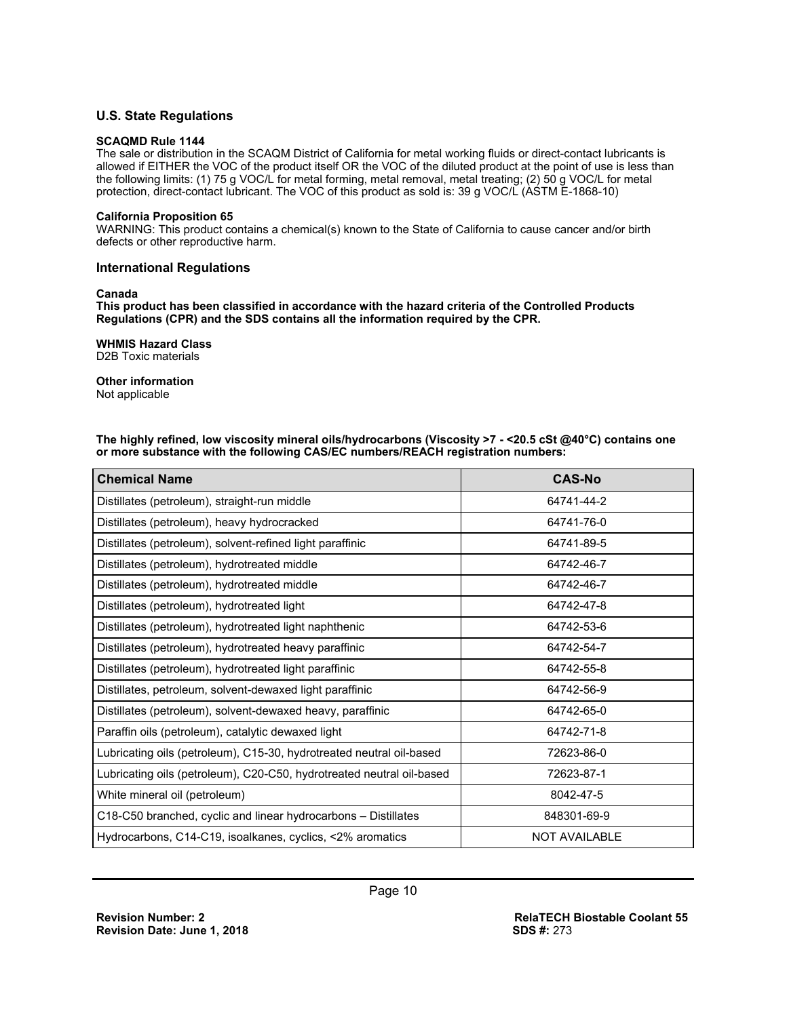## **U.S. State Regulations**

#### **SCAQMD Rule 1144**

The sale or distribution in the SCAQM District of California for metal working fluids or direct-contact lubricants is allowed if EITHER the VOC of the product itself OR the VOC of the diluted product at the point of use is less than the following limits: (1) 75 g VOC/L for metal forming, metal removal, metal treating; (2) 50 g VOC/L for metal protection, direct-contact lubricant. The VOC of this product as sold is: 39 g VOC/L (ASTM E-1868-10)

#### **California Proposition 65**

WARNING: This product contains a chemical(s) known to the State of California to cause cancer and/or birth defects or other reproductive harm.

#### **International Regulations**

#### **Canada**

**This product has been classified in accordance with the hazard criteria of the Controlled Products Regulations (CPR) and the SDS contains all the information required by the CPR.** 

#### **WHMIS Hazard Class**

D2B Toxic materials

## **Other information**

Not applicable

**The highly refined, low viscosity mineral oils/hydrocarbons (Viscosity >7 - <20.5 cSt @40°C) contains one or more substance with the following CAS/EC numbers/REACH registration numbers:**

| <b>Chemical Name</b>                                                  | <b>CAS-No</b>        |  |  |
|-----------------------------------------------------------------------|----------------------|--|--|
| Distillates (petroleum), straight-run middle                          | 64741-44-2           |  |  |
| Distillates (petroleum), heavy hydrocracked                           | 64741-76-0           |  |  |
| Distillates (petroleum), solvent-refined light paraffinic             | 64741-89-5           |  |  |
| Distillates (petroleum), hydrotreated middle                          | 64742-46-7           |  |  |
| Distillates (petroleum), hydrotreated middle                          | 64742-46-7           |  |  |
| Distillates (petroleum), hydrotreated light                           | 64742-47-8           |  |  |
| Distillates (petroleum), hydrotreated light naphthenic                | 64742-53-6           |  |  |
| Distillates (petroleum), hydrotreated heavy paraffinic                | 64742-54-7           |  |  |
| Distillates (petroleum), hydrotreated light paraffinic                | 64742-55-8           |  |  |
| Distillates, petroleum, solvent-dewaxed light paraffinic              | 64742-56-9           |  |  |
| Distillates (petroleum), solvent-dewaxed heavy, paraffinic            | 64742-65-0           |  |  |
| Paraffin oils (petroleum), catalytic dewaxed light                    | 64742-71-8           |  |  |
| Lubricating oils (petroleum), C15-30, hydrotreated neutral oil-based  | 72623-86-0           |  |  |
| Lubricating oils (petroleum), C20-C50, hydrotreated neutral oil-based | 72623-87-1           |  |  |
| White mineral oil (petroleum)                                         | 8042-47-5            |  |  |
| C18-C50 branched, cyclic and linear hydrocarbons – Distillates        | 848301-69-9          |  |  |
| Hydrocarbons, C14-C19, isoalkanes, cyclics, <2% aromatics             | <b>NOT AVAILABLE</b> |  |  |